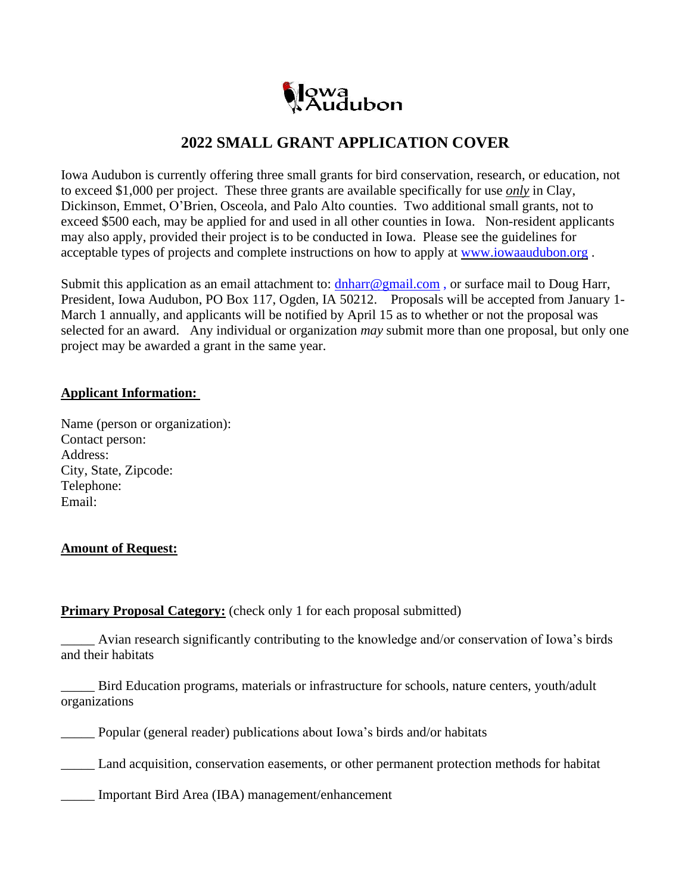

## **2022 SMALL GRANT APPLICATION COVER**

Iowa Audubon is currently offering three small grants for bird conservation, research, or education, not to exceed \$1,000 per project. These three grants are available specifically for use *only* in Clay, Dickinson, Emmet, O'Brien, Osceola, and Palo Alto counties. Two additional small grants, not to exceed \$500 each, may be applied for and used in all other counties in Iowa. Non-resident applicants may also apply, provided their project is to be conducted in Iowa. Please see the guidelines for acceptable types of projects and complete instructions on how to apply at [www.iowaaudubon.org](http://www.iowaaudubon.org/) .

Submit this application as an email attachment to:  $dh \text{harr} \mathcal{Q}$  gmail.com, or surface mail to Doug Harr, President, Iowa Audubon, PO Box 117, Ogden, IA 50212. Proposals will be accepted from January 1- March 1 annually, and applicants will be notified by April 15 as to whether or not the proposal was selected for an award. Any individual or organization *may* submit more than one proposal, but only one project may be awarded a grant in the same year.

## **Applicant Information:**

Name (person or organization): Contact person: Address: City, State, Zipcode: Telephone: Email:

## **Amount of Request:**

## **Primary Proposal Category:** (check only 1 for each proposal submitted)

Avian research significantly contributing to the knowledge and/or conservation of Iowa's birds and their habitats

\_\_\_\_\_ Bird Education programs, materials or infrastructure for schools, nature centers, youth/adult organizations

\_\_\_\_\_ Popular (general reader) publications about Iowa's birds and/or habitats

Land acquisition, conservation easements, or other permanent protection methods for habitat

\_\_\_\_\_ Important Bird Area (IBA) management/enhancement